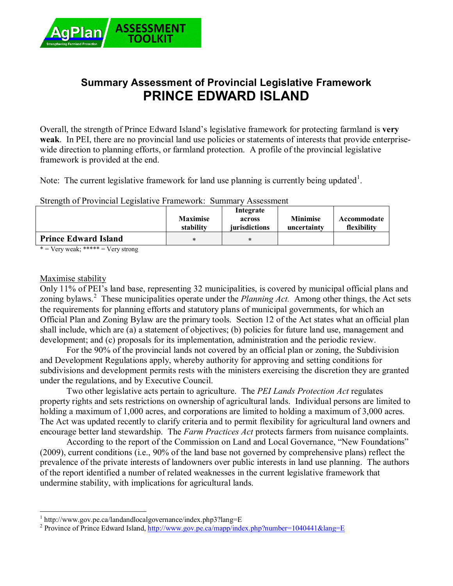

# **Summary Assessment of Provincial Legislative Framework PRINCE EDWARD ISLAND**

Overall, the strength of Prince Edward Island's legislative framework for protecting farmland is **very weak**. In PEI, there are no provincial land use policies or statements of interests that provide enterprisewide direction to planning efforts, or farmland protection. A profile of the provincial legislative framework is provided at the end.

Note: The current legislative framework for land use planning is currently being updated<sup>1</sup>.

#### Strength of Provincial Legislative Framework: Summary Assessment

|                             | <b>Maximise</b><br>stability | Integrate<br>across<br><i>iurisdictions</i> | <b>Minimise</b><br>uncertainty | Accommodate<br>flexibility |
|-----------------------------|------------------------------|---------------------------------------------|--------------------------------|----------------------------|
| <b>Prince Edward Island</b> | *                            | ∗                                           |                                |                            |

 $* = \text{Very weak};$  \*\*\*\*\* =  $\text{Very strong}$ 

#### Maximise stability

Only 11% of PEI's land base, representing 32 municipalities, is covered by municipal official plans and zoning bylaws.<sup>2</sup> These municipalities operate under the *Planning Act*. Among other things, the Act sets the requirements for planning efforts and statutory plans of municipal governments, for which an Official Plan and Zoning Bylaw are the primary tools. Section 12 of the Act states what an official plan shall include, which are (a) a statement of objectives; (b) policies for future land use, management and development; and (c) proposals for its implementation, administration and the periodic review.

For the 90% of the provincial lands not covered by an official plan or zoning, the Subdivision and Development Regulations apply, whereby authority for approving and setting conditions for subdivisions and development permits rests with the ministers exercising the discretion they are granted under the regulations, and by Executive Council.

Two other legislative acts pertain to agriculture. The *PEI Lands Protection Act* regulates property rights and sets restrictions on ownership of agricultural lands. Individual persons are limited to holding a maximum of 1,000 acres, and corporations are limited to holding a maximum of 3,000 acres. The Act was updated recently to clarify criteria and to permit flexibility for agricultural land owners and encourage better land stewardship. The *Farm Practices Act* protects farmers from nuisance complaints.

According to the report of the Commission on Land and Local Governance, "New Foundations" (2009), current conditions (i.e., 90% of the land base not governed by comprehensive plans) reflect the prevalence of the private interests of landowners over public interests in land use planning. The authors of the report identified a number of related weaknesses in the current legislative framework that undermine stability, with implications for agricultural lands.

 1 http://www.gov.pe.ca/landandlocalgovernance/index.php3?lang=E

<sup>&</sup>lt;sup>2</sup> Province of Prince Edward Island, http://www.gov.pe.ca/mapp/index.php?number=1040441&lang=E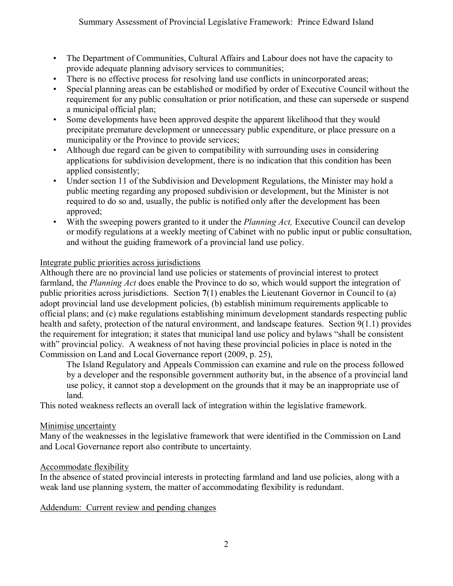- The Department of Communities, Cultural Affairs and Labour does not have the capacity to provide adequate planning advisory services to communities;
- There is no effective process for resolving land use conflicts in unincorporated areas;
- Special planning areas can be established or modified by order of Executive Council without the requirement for any public consultation or prior notification, and these can supersede or suspend a municipal official plan;
- Some developments have been approved despite the apparent likelihood that they would precipitate premature development or unnecessary public expenditure, or place pressure on a municipality or the Province to provide services;
- Although due regard can be given to compatibility with surrounding uses in considering applications for subdivision development, there is no indication that this condition has been applied consistently;
- Under section 11 of the Subdivision and Development Regulations, the Minister may hold a public meeting regarding any proposed subdivision or development, but the Minister is not required to do so and, usually, the public is notified only after the development has been approved;
- With the sweeping powers granted to it under the *Planning Act,* Executive Council can develop or modify regulations at a weekly meeting of Cabinet with no public input or public consultation, and without the guiding framework of a provincial land use policy.

## Integrate public priorities across jurisdictions

Although there are no provincial land use policies or statements of provincial interest to protect farmland, the *Planning Act* does enable the Province to do so, which would support the integration of public priorities across jurisdictions. Section **7**(1) enables the Lieutenant Governor in Council to (a) adopt provincial land use development policies, (b) establish minimum requirements applicable to official plans; and (c) make regulations establishing minimum development standards respecting public health and safety, protection of the natural environment, and landscape features. Section 9(1.1) provides the requirement for integration; it states that municipal land use policy and bylaws "shall be consistent with" provincial policy. A weakness of not having these provincial policies in place is noted in the Commission on Land and Local Governance report (2009, p. 25),

The Island Regulatory and Appeals Commission can examine and rule on the process followed by a developer and the responsible government authority but, in the absence of a provincial land use policy, it cannot stop a development on the grounds that it may be an inappropriate use of land.

This noted weakness reflects an overall lack of integration within the legislative framework.

### Minimise uncertainty

Many of the weaknesses in the legislative framework that were identified in the Commission on Land and Local Governance report also contribute to uncertainty.

### Accommodate flexibility

In the absence of stated provincial interests in protecting farmland and land use policies, along with a weak land use planning system, the matter of accommodating flexibility is redundant.

Addendum: Current review and pending changes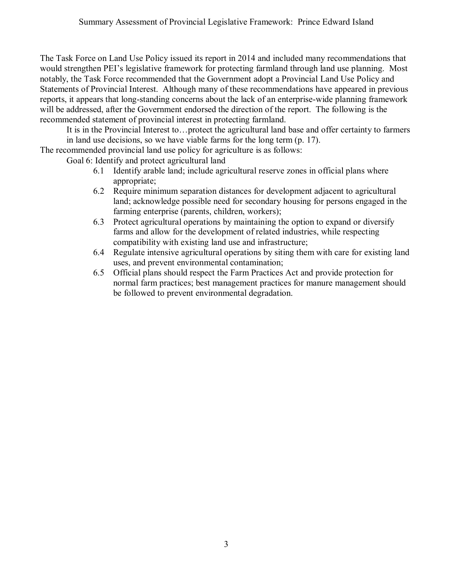The Task Force on Land Use Policy issued its report in 2014 and included many recommendations that would strengthen PEI's legislative framework for protecting farmland through land use planning. Most notably, the Task Force recommended that the Government adopt a Provincial Land Use Policy and Statements of Provincial Interest. Although many of these recommendations have appeared in previous reports, it appears that long-standing concerns about the lack of an enterprise-wide planning framework will be addressed, after the Government endorsed the direction of the report. The following is the recommended statement of provincial interest in protecting farmland.

It is in the Provincial Interest to…protect the agricultural land base and offer certainty to farmers in land use decisions, so we have viable farms for the long term (p. 17).

The recommended provincial land use policy for agriculture is as follows:

Goal 6: Identify and protect agricultural land

- 6.1 Identify arable land; include agricultural reserve zones in official plans where appropriate;
- 6.2 Require minimum separation distances for development adjacent to agricultural land; acknowledge possible need for secondary housing for persons engaged in the farming enterprise (parents, children, workers);
- 6.3 Protect agricultural operations by maintaining the option to expand or diversify farms and allow for the development of related industries, while respecting compatibility with existing land use and infrastructure;
- 6.4 Regulate intensive agricultural operations by siting them with care for existing land uses, and prevent environmental contamination;
- 6.5 Official plans should respect the Farm Practices Act and provide protection for normal farm practices; best management practices for manure management should be followed to prevent environmental degradation.